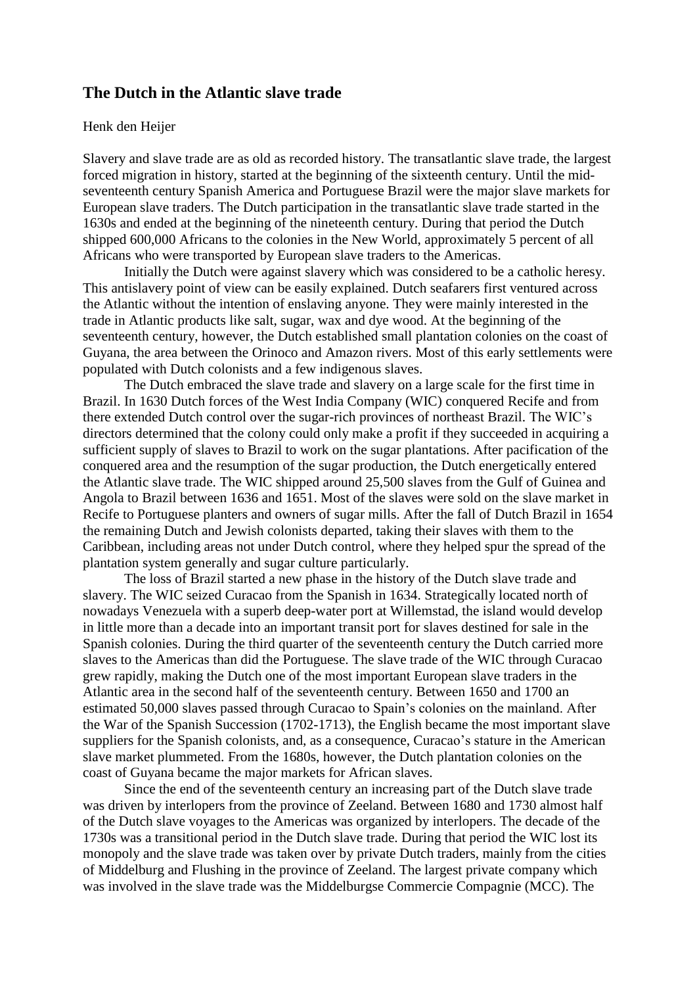## **The Dutch in the Atlantic slave trade**

## Henk den Heijer

Slavery and slave trade are as old as recorded history. The transatlantic slave trade, the largest forced migration in history, started at the beginning of the sixteenth century. Until the midseventeenth century Spanish America and Portuguese Brazil were the major slave markets for European slave traders. The Dutch participation in the transatlantic slave trade started in the 1630s and ended at the beginning of the nineteenth century. During that period the Dutch shipped 600,000 Africans to the colonies in the New World, approximately 5 percent of all Africans who were transported by European slave traders to the Americas.

Initially the Dutch were against slavery which was considered to be a catholic heresy. This antislavery point of view can be easily explained. Dutch seafarers first ventured across the Atlantic without the intention of enslaving anyone. They were mainly interested in the trade in Atlantic products like salt, sugar, wax and dye wood. At the beginning of the seventeenth century, however, the Dutch established small plantation colonies on the coast of Guyana, the area between the Orinoco and Amazon rivers. Most of this early settlements were populated with Dutch colonists and a few indigenous slaves.

The Dutch embraced the slave trade and slavery on a large scale for the first time in Brazil. In 1630 Dutch forces of the West India Company (WIC) conquered Recife and from there extended Dutch control over the sugar-rich provinces of northeast Brazil. The WIC's directors determined that the colony could only make a profit if they succeeded in acquiring a sufficient supply of slaves to Brazil to work on the sugar plantations. After pacification of the conquered area and the resumption of the sugar production, the Dutch energetically entered the Atlantic slave trade. The WIC shipped around 25,500 slaves from the Gulf of Guinea and Angola to Brazil between 1636 and 1651. Most of the slaves were sold on the slave market in Recife to Portuguese planters and owners of sugar mills. After the fall of Dutch Brazil in 1654 the remaining Dutch and Jewish colonists departed, taking their slaves with them to the Caribbean, including areas not under Dutch control, where they helped spur the spread of the plantation system generally and sugar culture particularly.

The loss of Brazil started a new phase in the history of the Dutch slave trade and slavery. The WIC seized Curacao from the Spanish in 1634. Strategically located north of nowadays Venezuela with a superb deep-water port at Willemstad, the island would develop in little more than a decade into an important transit port for slaves destined for sale in the Spanish colonies. During the third quarter of the seventeenth century the Dutch carried more slaves to the Americas than did the Portuguese. The slave trade of the WIC through Curacao grew rapidly, making the Dutch one of the most important European slave traders in the Atlantic area in the second half of the seventeenth century. Between 1650 and 1700 an estimated 50,000 slaves passed through Curacao to Spain's colonies on the mainland. After the War of the Spanish Succession (1702-1713), the English became the most important slave suppliers for the Spanish colonists, and, as a consequence, Curacao's stature in the American slave market plummeted. From the 1680s, however, the Dutch plantation colonies on the coast of Guyana became the major markets for African slaves.

Since the end of the seventeenth century an increasing part of the Dutch slave trade was driven by interlopers from the province of Zeeland. Between 1680 and 1730 almost half of the Dutch slave voyages to the Americas was organized by interlopers. The decade of the 1730s was a transitional period in the Dutch slave trade. During that period the WIC lost its monopoly and the slave trade was taken over by private Dutch traders, mainly from the cities of Middelburg and Flushing in the province of Zeeland. The largest private company which was involved in the slave trade was the Middelburgse Commercie Compagnie (MCC). The